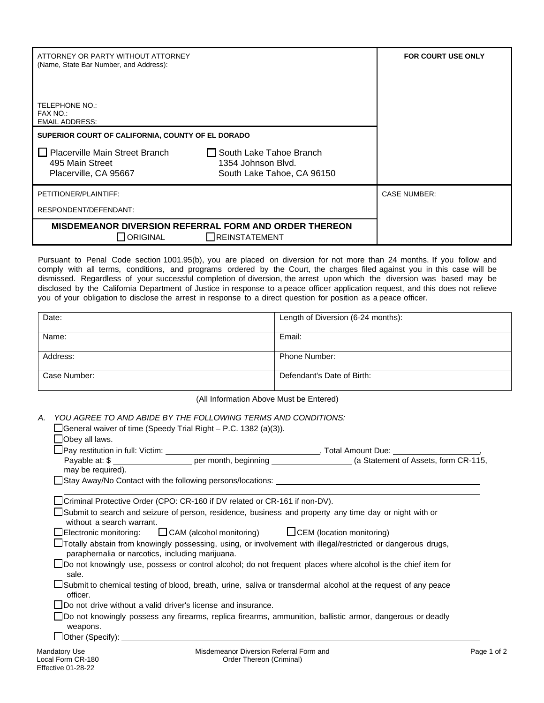| ATTORNEY OR PARTY WITHOUT ATTORNEY<br>(Name, State Bar Number, and Address):                                                           |                                                                             | <b>FOR COURT USE ONLY</b> |
|----------------------------------------------------------------------------------------------------------------------------------------|-----------------------------------------------------------------------------|---------------------------|
| TELEPHONE NO.:<br>FAX NO.:<br><b>EMAIL ADDRESS:</b>                                                                                    |                                                                             |                           |
| SUPERIOR COURT OF CALIFORNIA, COUNTY OF EL DORADO<br>$\Box$ Placerville Main Street Branch<br>495 Main Street<br>Placerville, CA 95667 | South Lake Tahoe Branch<br>1354 Johnson Blvd.<br>South Lake Tahoe, CA 96150 |                           |
| PETITIONER/PLAINTIFF:<br>RESPONDENT/DEFENDANT:                                                                                         |                                                                             | <b>CASE NUMBER:</b>       |
| <b>MISDEMEANOR DIVERSION REFERRAL FORM AND ORDER THEREON</b><br>$\bigcap$ ORIGINAL                                                     | <b>OREINSTATEMENT</b>                                                       |                           |

Pursuant to Penal Code section 1001.95(b), you are placed on diversion for not more than 24 months. If you follow and comply with all terms, conditions, and programs ordered by the Court, the charges filed against you in this case will be dismissed. Regardless of your successful completion of diversion, the arrest upon which the diversion was based may be disclosed by the California Department of Justice in response to a peace officer application request, and this does not relieve you of your obligation to disclose the arrest in response to a direct question for position as a peace officer.

| Date:        | Length of Diversion (6-24 months): |
|--------------|------------------------------------|
| Name:        | Email:                             |
| Address:     | Phone Number:                      |
| Case Number: | Defendant's Date of Birth:         |

(All Information Above Must be Entered)

*A. YOU AGREE TO AND ABIDE BY THE FOLLOWING TERMS AND CONDITIONS:*

|                                | $\Box$ General waiver of time (Speedy Trial Right – P.C. 1382 (a)(3)).                         |                                                                                                                        |
|--------------------------------|------------------------------------------------------------------------------------------------|------------------------------------------------------------------------------------------------------------------------|
| Obey all laws.                 |                                                                                                |                                                                                                                        |
|                                |                                                                                                |                                                                                                                        |
|                                |                                                                                                | Payable at: \$ ________________________ per month, beginning _____________________(a Statement of Assets, form CR-115, |
| may be required).              | ∐Stay Away/No Contact with the following persons/locations:                                    |                                                                                                                        |
|                                | Criminal Protective Order (CPO: CR-160 if DV related or CR-161 if non-DV).                     |                                                                                                                        |
| without a search warrant.      |                                                                                                | Submit to search and seizure of person, residence, business and property any time day or night with or                 |
|                                | $\Box$ Electronic monitoring: $\Box$ CAM (alcohol monitoring) $\Box$ CEM (location monitoring) |                                                                                                                        |
|                                | paraphernalia or narcotics, including marijuana.                                               | Totally abstain from knowingly possessing, using, or involvement with illegal/restricted or dangerous drugs,           |
| sale.                          |                                                                                                | □Do not knowingly use, possess or control alcohol; do not frequent places where alcohol is the chief item for          |
| officer.                       |                                                                                                | □ Submit to chemical testing of blood, breath, urine, saliva or transdermal alcohol at the request of any peace        |
|                                | $\Box$ Do not drive without a valid driver's license and insurance.                            |                                                                                                                        |
| weapons.                       |                                                                                                | Do not knowingly possess any firearms, replica firearms, ammunition, ballistic armor, dangerous or deadly              |
| $\Box$ Other (Specify): $\Box$ |                                                                                                |                                                                                                                        |
| Mandatory Use                  | Misdemeanor Diversion Referral Form and                                                        | Page                                                                                                                   |